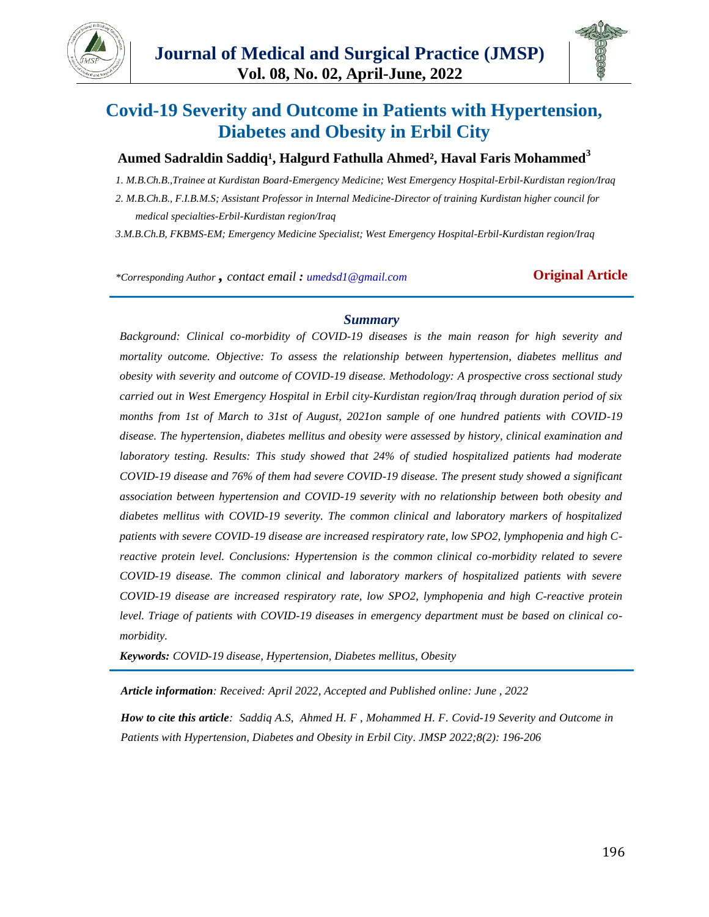



# **Covid-19 Severity and Outcome in Patients with Hypertension, Diabetes and Obesity in Erbil City**

### Aumed Sadraldin Saddiq<sup>1</sup>, Halgurd Fathulla Ahmed<sup>2</sup>, Haval Faris Mohammed<sup>3</sup>

*1. M.B.Ch.B.,Trainee at Kurdistan Board-Emergency Medicine; West Emergency Hospital-Erbil-Kurdistan region/Iraq*

*2. M.B.Ch.B., F.I.B.M.S; Assistant Professor in Internal Medicine-Director of training Kurdistan higher council for medical specialties-Erbil-Kurdistan region/Iraq*

*3.M.B.Ch.B, FKBMS-EM; Emergency Medicine Specialist; West Emergency Hospital-Erbil-Kurdistan region/Iraq*

*\*Corresponding Author , contact email : umedsd1@gmail.com* **Original Article**

#### *Summary*

*Background: Clinical co-morbidity of COVID-19 diseases is the main reason for high severity and mortality outcome. Objective: To assess the relationship between hypertension, diabetes mellitus and obesity with severity and outcome of COVID-19 disease. Methodology: A prospective cross sectional study carried out in West Emergency Hospital in Erbil city-Kurdistan region/Iraq through duration period of six months from 1st of March to 31st of August, 2021on sample of one hundred patients with COVID-19 disease. The hypertension, diabetes mellitus and obesity were assessed by history, clinical examination and laboratory testing. Results: This study showed that 24% of studied hospitalized patients had moderate COVID-19 disease and 76% of them had severe COVID-19 disease. The present study showed a significant association between hypertension and COVID-19 severity with no relationship between both obesity and diabetes mellitus with COVID-19 severity. The common clinical and laboratory markers of hospitalized patients with severe COVID-19 disease are increased respiratory rate, low SPO2, lymphopenia and high Creactive protein level. Conclusions: Hypertension is the common clinical co-morbidity related to severe COVID-19 disease. The common clinical and laboratory markers of hospitalized patients with severe COVID-19 disease are increased respiratory rate, low SPO2, lymphopenia and high C-reactive protein level. Triage of patients with COVID-19 diseases in emergency department must be based on clinical comorbidity.*

*Keywords: COVID-19 disease, Hypertension, Diabetes mellitus, Obesity*

*Article information: Received: April 2022, Accepted and Published online: June , 2022*

*How to cite this article: Saddiq A.S, Ahmed H. F , Mohammed H. F. Covid-19 Severity and Outcome in Patients with Hypertension, Diabetes and Obesity in Erbil City. JMSP 2022;8(2): 196-206*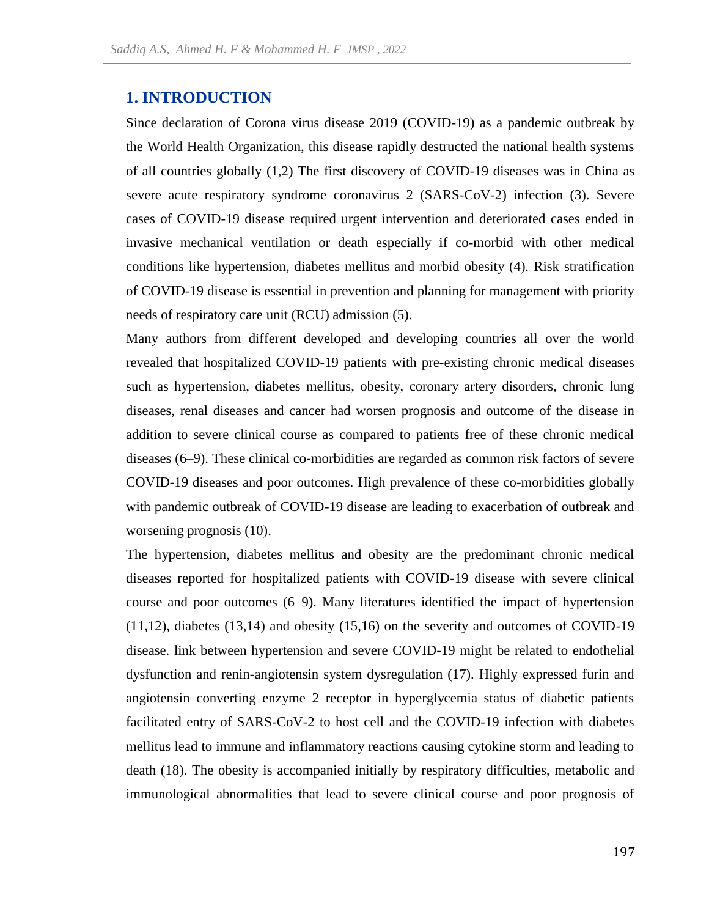# **1. INTRODUCTION**

Since declaration of Corona virus disease 2019 (COVID-19) as a pandemic outbreak by the World Health Organization, this disease rapidly destructed the national health systems of all countries globally (1,2) The first discovery of COVID-19 diseases was in China as severe acute respiratory syndrome coronavirus 2 (SARS-CoV-2) infection (3). Severe cases of COVID-19 disease required urgent intervention and deteriorated cases ended in invasive mechanical ventilation or death especially if co-morbid with other medical conditions like hypertension, diabetes mellitus and morbid obesity (4). Risk stratification of COVID-19 disease is essential in prevention and planning for management with priority needs of respiratory care unit (RCU) admission (5).

Many authors from different developed and developing countries all over the world revealed that hospitalized COVID-19 patients with pre-existing chronic medical diseases such as hypertension, diabetes mellitus, obesity, coronary artery disorders, chronic lung diseases, renal diseases and cancer had worsen prognosis and outcome of the disease in addition to severe clinical course as compared to patients free of these chronic medical diseases (6–9). These clinical co-morbidities are regarded as common risk factors of severe COVID-19 diseases and poor outcomes. High prevalence of these co-morbidities globally with pandemic outbreak of COVID-19 disease are leading to exacerbation of outbreak and worsening prognosis (10).

The hypertension, diabetes mellitus and obesity are the predominant chronic medical diseases reported for hospitalized patients with COVID-19 disease with severe clinical course and poor outcomes (6–9). Many literatures identified the impact of hypertension (11,12), diabetes (13,14) and obesity (15,16) on the severity and outcomes of COVID-19 disease. link between hypertension and severe COVID-19 might be related to endothelial dysfunction and renin-angiotensin system dysregulation (17). Highly expressed furin and angiotensin converting enzyme 2 receptor in hyperglycemia status of diabetic patients facilitated entry of SARS-CoV-2 to host cell and the COVID-19 infection with diabetes mellitus lead to immune and inflammatory reactions causing cytokine storm and leading to death (18). The obesity is accompanied initially by respiratory difficulties, metabolic and immunological abnormalities that lead to severe clinical course and poor prognosis of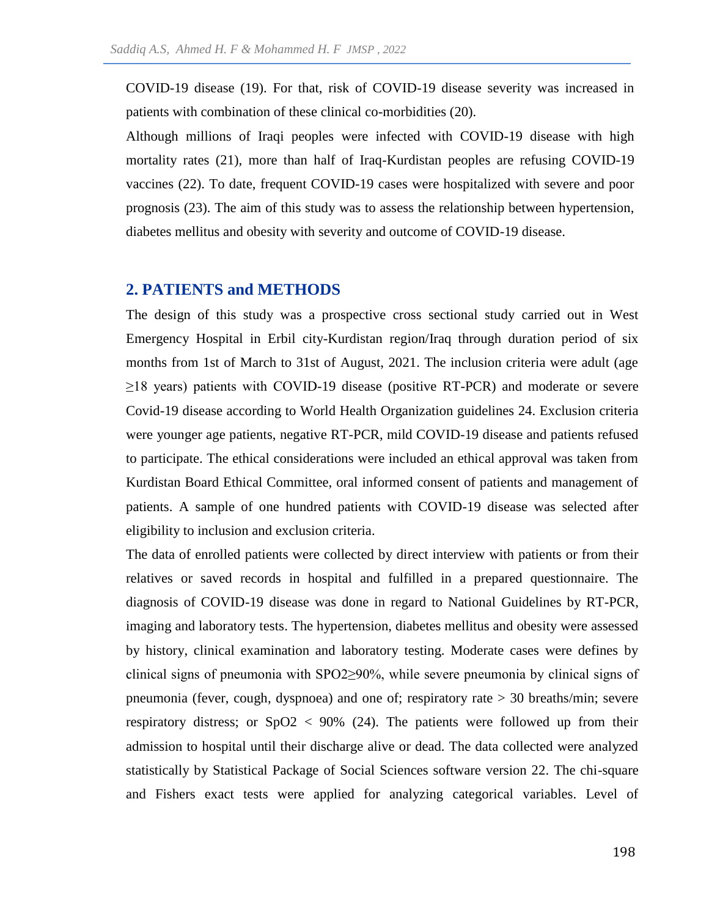COVID-19 disease (19). For that, risk of COVID-19 disease severity was increased in patients with combination of these clinical co-morbidities (20).

Although millions of Iraqi peoples were infected with COVID-19 disease with high mortality rates (21), more than half of Iraq-Kurdistan peoples are refusing COVID-19 vaccines (22). To date, frequent COVID-19 cases were hospitalized with severe and poor prognosis (23). The aim of this study was to assess the relationship between hypertension, diabetes mellitus and obesity with severity and outcome of COVID-19 disease.

#### **2. PATIENTS and METHODS**

The design of this study was a prospective cross sectional study carried out in West Emergency Hospital in Erbil city-Kurdistan region/Iraq through duration period of six months from 1st of March to 31st of August, 2021. The inclusion criteria were adult (age  $\geq$ 18 years) patients with COVID-19 disease (positive RT-PCR) and moderate or severe Covid-19 disease according to World Health Organization guidelines 24. Exclusion criteria were younger age patients, negative RT-PCR, mild COVID-19 disease and patients refused to participate. The ethical considerations were included an ethical approval was taken from Kurdistan Board Ethical Committee, oral informed consent of patients and management of patients. A sample of one hundred patients with COVID-19 disease was selected after eligibility to inclusion and exclusion criteria.

The data of enrolled patients were collected by direct interview with patients or from their relatives or saved records in hospital and fulfilled in a prepared questionnaire. The diagnosis of COVID-19 disease was done in regard to National Guidelines by RT-PCR, imaging and laboratory tests. The hypertension, diabetes mellitus and obesity were assessed by history, clinical examination and laboratory testing. Moderate cases were defines by clinical signs of pneumonia with SPO2≥90%, while severe pneumonia by clinical signs of pneumonia (fever, cough, dyspnoea) and one of; respiratory rate > 30 breaths/min; severe respiratory distress; or  $SpO2 < 90\%$  (24). The patients were followed up from their admission to hospital until their discharge alive or dead. The data collected were analyzed statistically by Statistical Package of Social Sciences software version 22. The chi-square and Fishers exact tests were applied for analyzing categorical variables. Level of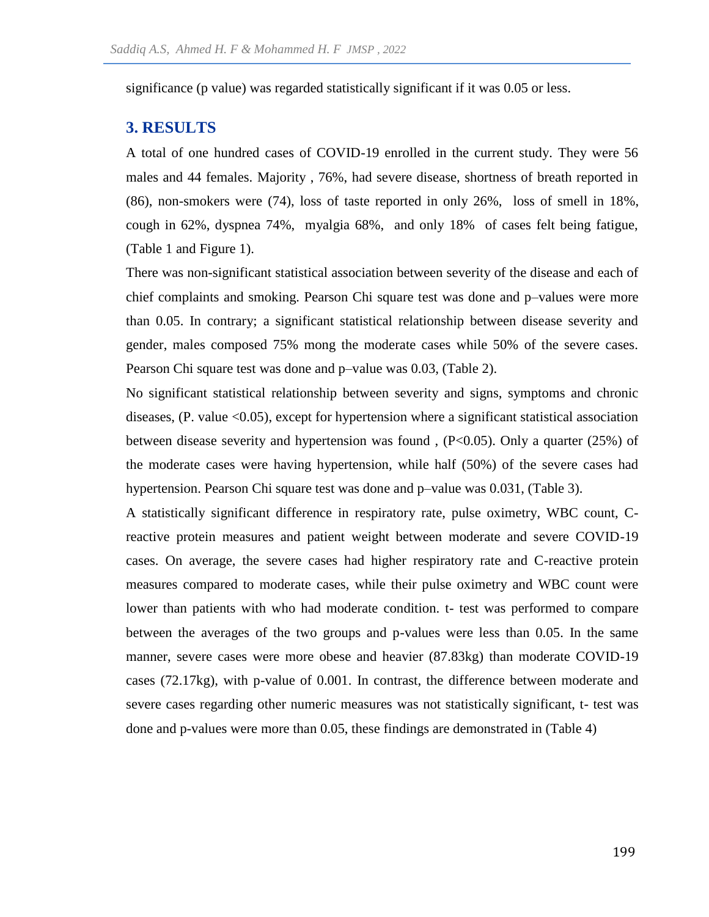significance (p value) was regarded statistically significant if it was 0.05 or less.

## **3. RESULTS**

A total of one hundred cases of COVID-19 enrolled in the current study. They were 56 males and 44 females. Majority , 76%, had severe disease, shortness of breath reported in (86), non-smokers were (74), loss of taste reported in only 26%, loss of smell in 18%, cough in 62%, dyspnea 74%, myalgia 68%, and only 18% of cases felt being fatigue, (Table 1 and Figure 1).

There was non-significant statistical association between severity of the disease and each of chief complaints and smoking. Pearson Chi square test was done and p–values were more than 0.05. In contrary; a significant statistical relationship between disease severity and gender, males composed 75% mong the moderate cases while 50% of the severe cases. Pearson Chi square test was done and p–value was 0.03, (Table 2).

No significant statistical relationship between severity and signs, symptoms and chronic diseases, (P. value <0.05), except for hypertension where a significant statistical association between disease severity and hypertension was found , (P<0.05). Only a quarter (25%) of the moderate cases were having hypertension, while half (50%) of the severe cases had hypertension. Pearson Chi square test was done and p–value was 0.031, (Table 3).

A statistically significant difference in respiratory rate, pulse oximetry, WBC count, Creactive protein measures and patient weight between moderate and severe COVID-19 cases. On average, the severe cases had higher respiratory rate and C-reactive protein measures compared to moderate cases, while their pulse oximetry and WBC count were lower than patients with who had moderate condition. t- test was performed to compare between the averages of the two groups and p-values were less than 0.05. In the same manner, severe cases were more obese and heavier (87.83kg) than moderate COVID-19 cases (72.17kg), with p-value of 0.001. In contrast, the difference between moderate and severe cases regarding other numeric measures was not statistically significant, t- test was done and p-values were more than 0.05, these findings are demonstrated in (Table 4)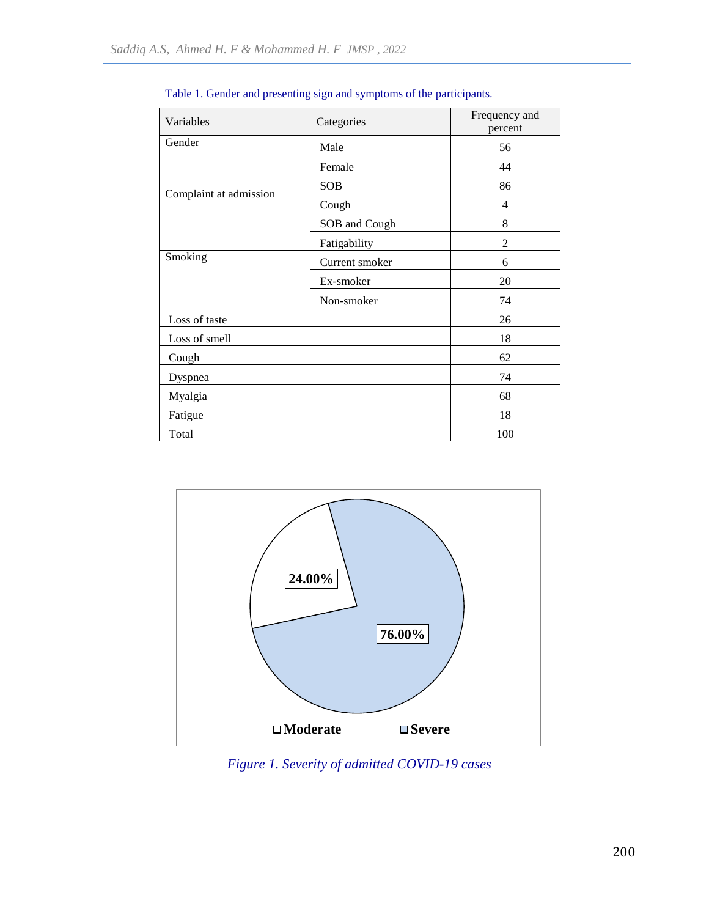| Variables              | Categories     | Frequency and<br>percent |  |
|------------------------|----------------|--------------------------|--|
| Gender                 | Male           | 56                       |  |
|                        | Female         | 44                       |  |
| Complaint at admission | <b>SOB</b>     | 86                       |  |
|                        | Cough          | 4                        |  |
|                        | SOB and Cough  | 8                        |  |
|                        | Fatigability   | $\overline{2}$           |  |
| Smoking                | Current smoker | 6                        |  |
|                        | Ex-smoker      | 20                       |  |
|                        | Non-smoker     | 74                       |  |
| Loss of taste          |                | 26                       |  |
| Loss of smell          |                | 18                       |  |
| Cough                  |                | 62                       |  |
| Dyspnea                |                | 74                       |  |
| Myalgia                | 68             |                          |  |
| Fatigue                | 18             |                          |  |
| Total                  |                | 100                      |  |

Table 1. Gender and presenting sign and symptoms of the participants.



*Figure 1. Severity of admitted COVID-19 cases*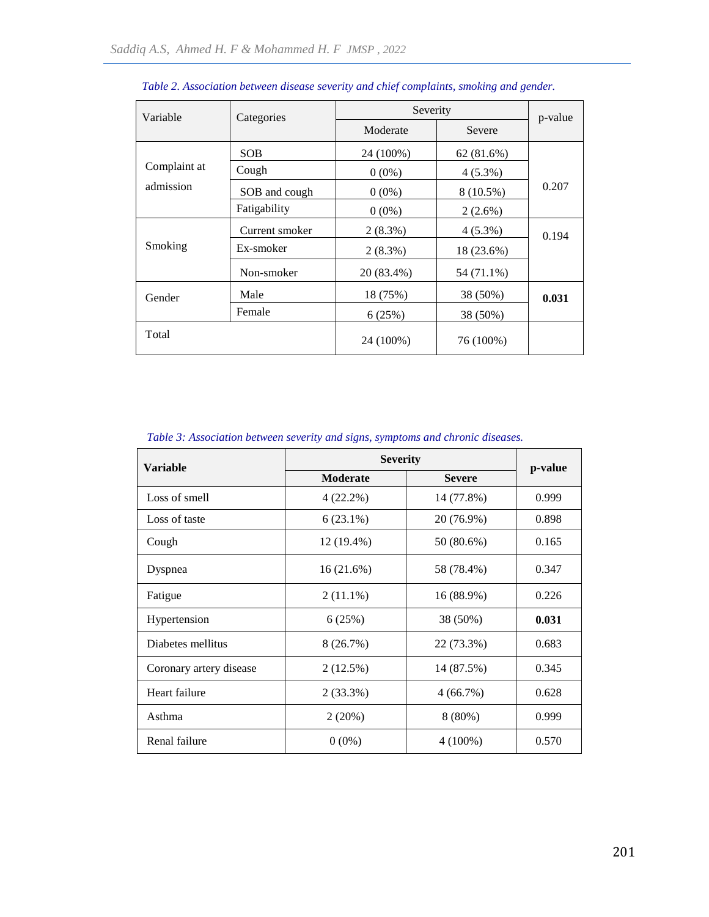| Variable     | Categories     | Severity   | p-value     |       |
|--------------|----------------|------------|-------------|-------|
|              |                | Moderate   | Severe      |       |
|              | <b>SOB</b>     | 24 (100%)  | 62(81.6%)   |       |
| Complaint at | Cough          | $0(0\%)$   | $4(5.3\%)$  |       |
| admission    | SOB and cough  | $0(0\%)$   | $8(10.5\%)$ | 0.207 |
|              | Fatigability   | $0(0\%)$   | $2(2.6\%)$  |       |
|              | Current smoker | $2(8.3\%)$ | $4(5.3\%)$  | 0.194 |
| Smoking      | Ex-smoker      | $2(8.3\%)$ | 18 (23.6%)  |       |
|              | Non-smoker     | 20 (83.4%) | 54 (71.1%)  |       |
| Gender       | Male           | 18 (75%)   | 38 (50%)    | 0.031 |
|              | Female         | 6(25%)     | 38 (50%)    |       |
| Total        |                | 24 (100%)  | 76 (100%)   |       |

| Table 2. Association between disease severity and chief complaints, smoking and gender. |  |  |  |
|-----------------------------------------------------------------------------------------|--|--|--|
|                                                                                         |  |  |  |

|  | Table 3: Association between severity and signs, symptoms and chronic diseases. |  |  |  |  |  |  |  |
|--|---------------------------------------------------------------------------------|--|--|--|--|--|--|--|
|--|---------------------------------------------------------------------------------|--|--|--|--|--|--|--|

| <b>Variable</b>         | <b>Severity</b> | p-value       |       |  |
|-------------------------|-----------------|---------------|-------|--|
|                         | <b>Moderate</b> | <b>Severe</b> |       |  |
| Loss of smell           | 4(22.2%)        | 14 (77.8%)    | 0.999 |  |
| Loss of taste           | $6(23.1\%)$     | 20 (76.9%)    | 0.898 |  |
| Cough                   | $12(19.4\%)$    | 50 (80.6%)    | 0.165 |  |
| Dyspnea                 | 16(21.6%)       | 58 (78.4%)    | 0.347 |  |
| Fatigue                 | $2(11.1\%)$     | 16 (88.9%)    | 0.226 |  |
| Hypertension            | 6(25%)          | 38 (50%)      | 0.031 |  |
| Diabetes mellitus       | 8(26.7%)        | 22 (73.3%)    | 0.683 |  |
| Coronary artery disease | 2(12.5%)        | 14 (87.5%)    | 0.345 |  |
| Heart failure           | $2(33.3\%)$     | 4(66.7%)      | 0.628 |  |
| Asthma                  | 2(20%)          | $8(80\%)$     | 0.999 |  |
| Renal failure           | $0(0\%)$        | $4(100\%)$    | 0.570 |  |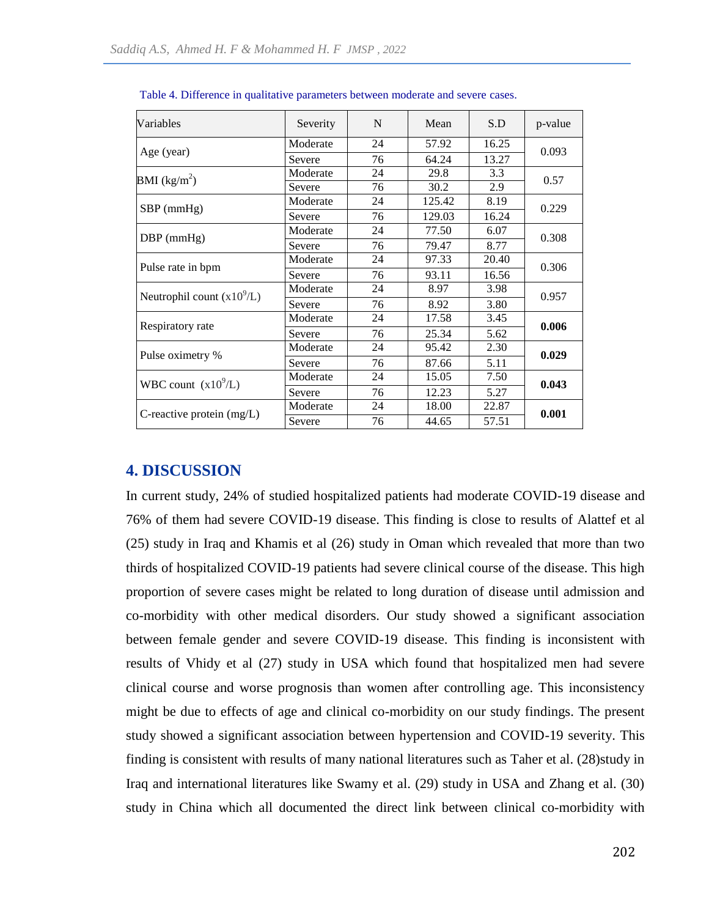| Variables                       | Severity | N  | Mean   | S.D   | p-value |  |
|---------------------------------|----------|----|--------|-------|---------|--|
|                                 | Moderate | 24 | 57.92  | 16.25 | 0.093   |  |
| Age (year)                      | Severe   | 76 | 64.24  | 13.27 |         |  |
| <b>BMI</b> (kg/m <sup>2</sup> ) | Moderate | 24 | 29.8   | 3.3   |         |  |
|                                 | Severe   | 76 | 30.2   | 2.9   | 0.57    |  |
|                                 | Moderate | 24 | 125.42 | 8.19  | 0.229   |  |
| $SBP$ (mmHg)                    | Severe   | 76 | 129.03 | 16.24 |         |  |
|                                 | Moderate | 24 | 77.50  | 6.07  | 0.308   |  |
| $DBP$ (mmHg)                    | Severe   | 76 | 79.47  | 8.77  |         |  |
|                                 | Moderate | 24 | 97.33  | 20.40 |         |  |
| Pulse rate in bpm               | Severe   | 76 | 93.11  | 16.56 | 0.306   |  |
|                                 | Moderate | 24 | 8.97   | 3.98  |         |  |
| Neutrophil count $(x10^9/L)$    | Severe   | 76 | 8.92   | 3.80  | 0.957   |  |
| Respiratory rate                | Moderate | 24 | 17.58  | 3.45  | 0.006   |  |
|                                 | Severe   | 76 | 25.34  | 5.62  |         |  |
| Pulse oximetry %                | Moderate | 24 | 95.42  | 2.30  |         |  |
|                                 | Severe   | 76 | 87.66  | 5.11  | 0.029   |  |
| WBC count $(x10^9/L)$           | Moderate | 24 | 15.05  | 7.50  |         |  |
|                                 | Severe   | 76 | 12.23  | 5.27  | 0.043   |  |
| C-reactive protein $(mg/L)$     | Moderate | 24 | 18.00  | 22.87 |         |  |
|                                 | Severe   | 76 | 44.65  | 57.51 | 0.001   |  |

Table 4. Difference in qualitative parameters between moderate and severe cases.

## **4. DISCUSSION**

In current study, 24% of studied hospitalized patients had moderate COVID-19 disease and 76% of them had severe COVID-19 disease. This finding is close to results of Alattef et al (25) study in Iraq and Khamis et al (26) study in Oman which revealed that more than two thirds of hospitalized COVID-19 patients had severe clinical course of the disease. This high proportion of severe cases might be related to long duration of disease until admission and co-morbidity with other medical disorders. Our study showed a significant association between female gender and severe COVID-19 disease. This finding is inconsistent with results of Vhidy et al (27) study in USA which found that hospitalized men had severe clinical course and worse prognosis than women after controlling age. This inconsistency might be due to effects of age and clinical co-morbidity on our study findings. The present study showed a significant association between hypertension and COVID-19 severity. This finding is consistent with results of many national literatures such as Taher et al. (28)study in Iraq and international literatures like Swamy et al. (29) study in USA and Zhang et al. (30) study in China which all documented the direct link between clinical co-morbidity with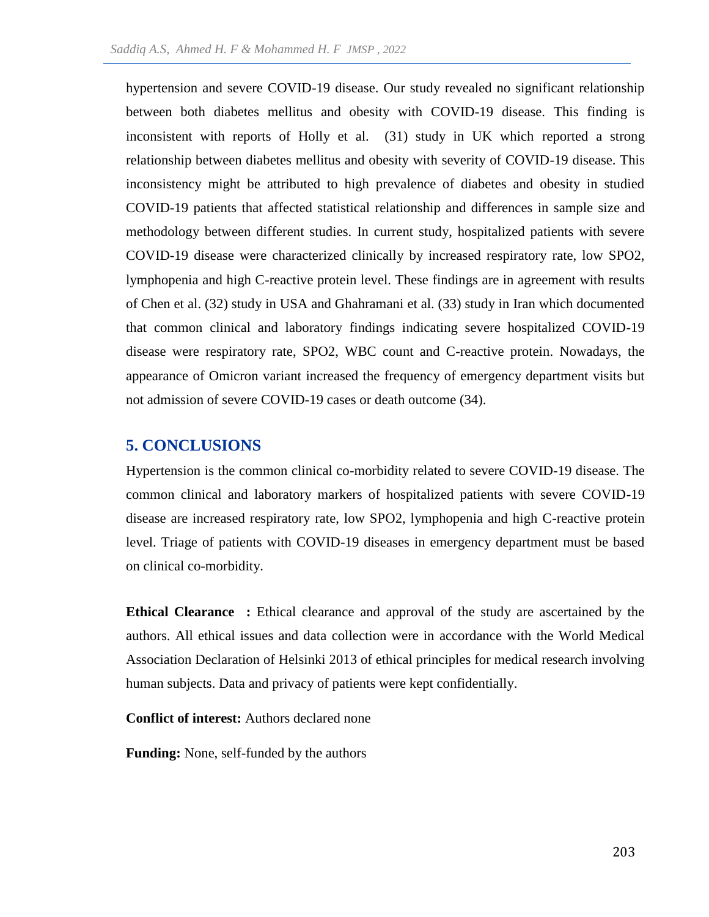hypertension and severe COVID-19 disease. Our study revealed no significant relationship between both diabetes mellitus and obesity with COVID-19 disease. This finding is inconsistent with reports of Holly et al. (31) study in UK which reported a strong relationship between diabetes mellitus and obesity with severity of COVID-19 disease. This inconsistency might be attributed to high prevalence of diabetes and obesity in studied COVID-19 patients that affected statistical relationship and differences in sample size and methodology between different studies. In current study, hospitalized patients with severe COVID-19 disease were characterized clinically by increased respiratory rate, low SPO2, lymphopenia and high C-reactive protein level. These findings are in agreement with results of Chen et al. (32) study in USA and Ghahramani et al. (33) study in Iran which documented that common clinical and laboratory findings indicating severe hospitalized COVID-19 disease were respiratory rate, SPO2, WBC count and C-reactive protein. Nowadays, the appearance of Omicron variant increased the frequency of emergency department visits but not admission of severe COVID-19 cases or death outcome (34).

## **5. CONCLUSIONS**

Hypertension is the common clinical co-morbidity related to severe COVID-19 disease. The common clinical and laboratory markers of hospitalized patients with severe COVID-19 disease are increased respiratory rate, low SPO2, lymphopenia and high C-reactive protein level. Triage of patients with COVID-19 diseases in emergency department must be based on clinical co-morbidity.

**Ethical Clearance :** Ethical clearance and approval of the study are ascertained by the authors. All ethical issues and data collection were in accordance with the World Medical Association Declaration of Helsinki 2013 of ethical principles for medical research involving human subjects. Data and privacy of patients were kept confidentially.

**Conflict of interest:** Authors declared none

**Funding:** None, self-funded by the authors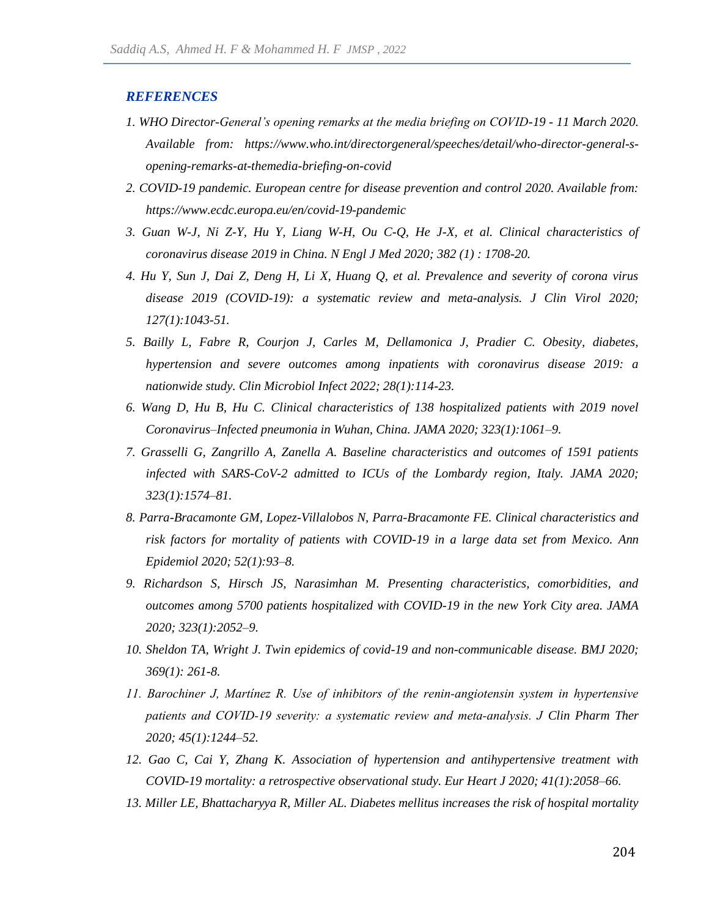#### *REFERENCES*

- *1. WHO Director-General's opening remarks at the media briefing on COVID-19 - 11 March 2020. Available from: https://www.who.int/directorgeneral/speeches/detail/who-director-general-sopening-remarks-at-themedia-briefing-on-covid*
- *2. COVID-19 pandemic. European centre for disease prevention and control 2020. Available from: https://www.ecdc.europa.eu/en/covid-19-pandemic*
- *3. Guan W-J, Ni Z-Y, Hu Y, Liang W-H, Ou C-Q, He J-X, et al. Clinical characteristics of coronavirus disease 2019 in China. N Engl J Med 2020; 382 (1) : 1708-20.*
- *4. Hu Y, Sun J, Dai Z, Deng H, Li X, Huang Q, et al. Prevalence and severity of corona virus disease 2019 (COVID-19): a systematic review and meta-analysis. J Clin Virol 2020; 127(1):1043-51.*
- *5. Bailly L, Fabre R, Courjon J, Carles M, Dellamonica J, Pradier C. Obesity, diabetes, hypertension and severe outcomes among inpatients with coronavirus disease 2019: a nationwide study. Clin Microbiol Infect 2022; 28(1):114-23.*
- *6. Wang D, Hu B, Hu C. Clinical characteristics of 138 hospitalized patients with 2019 novel Coronavirus–Infected pneumonia in Wuhan, China. JAMA 2020; 323(1):1061–9.*
- *7. Grasselli G, Zangrillo A, Zanella A. Baseline characteristics and outcomes of 1591 patients*  infected with SARS-CoV-2 admitted to ICUs of the Lombardy region, Italy. JAMA 2020; *323(1):1574–81.*
- *8. Parra-Bracamonte GM, Lopez-Villalobos N, Parra-Bracamonte FE. Clinical characteristics and risk factors for mortality of patients with COVID-19 in a large data set from Mexico. Ann Epidemiol 2020; 52(1):93–8.*
- *9. Richardson S, Hirsch JS, Narasimhan M. Presenting characteristics, comorbidities, and outcomes among 5700 patients hospitalized with COVID-19 in the new York City area. JAMA 2020; 323(1):2052–9.*
- *10. Sheldon TA, Wright J. Twin epidemics of covid-19 and non-communicable disease. BMJ 2020; 369(1): 261-8.*
- *11. Barochiner J, Martínez R. Use of inhibitors of the renin‐angiotensin system in hypertensive patients and COVID‐19 severity: a systematic review and meta‐analysis. J Clin Pharm Ther 2020; 45(1):1244–52.*
- *12. Gao C, Cai Y, Zhang K. Association of hypertension and antihypertensive treatment with COVID-19 mortality: a retrospective observational study. Eur Heart J 2020; 41(1):2058–66.*
- *13. Miller LE, Bhattacharyya R, Miller AL. Diabetes mellitus increases the risk of hospital mortality*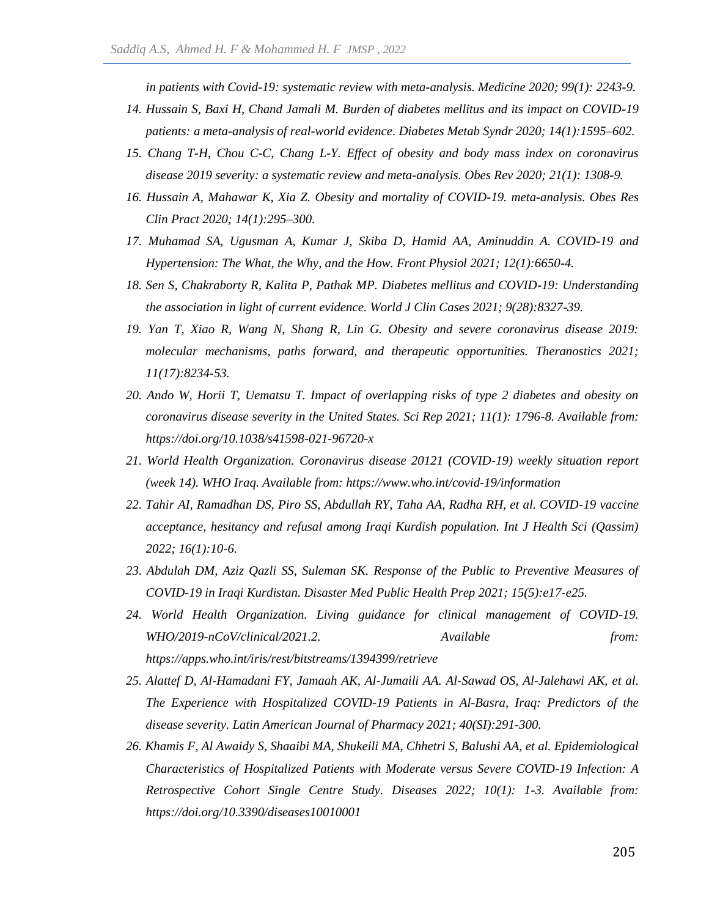*in patients with Covid-19: systematic review with meta-analysis. Medicine 2020; 99(1): 2243-9.*

- *14. Hussain S, Baxi H, Chand Jamali M. Burden of diabetes mellitus and its impact on COVID-19 patients: a meta-analysis of real-world evidence. Diabetes Metab Syndr 2020; 14(1):1595–602.*
- *15. Chang T-H, Chou C-C, Chang L-Y. Effect of obesity and body mass index on coronavirus disease 2019 severity: a systematic review and meta-analysis. Obes Rev 2020; 21(1): 1308-9.*
- *16. Hussain A, Mahawar K, Xia Z. Obesity and mortality of COVID-19. meta-analysis. Obes Res Clin Pract 2020; 14(1):295–300.*
- *17. Muhamad SA, Ugusman A, Kumar J, Skiba D, Hamid AA, Aminuddin A. COVID-19 and Hypertension: The What, the Why, and the How. Front Physiol 2021; 12(1):6650-4.*
- *18. Sen S, Chakraborty R, Kalita P, Pathak MP. Diabetes mellitus and COVID-19: Understanding the association in light of current evidence. World J Clin Cases 2021; 9(28):8327-39.*
- *19. Yan T, Xiao R, Wang N, Shang R, Lin G. Obesity and severe coronavirus disease 2019: molecular mechanisms, paths forward, and therapeutic opportunities. Theranostics 2021; 11(17):8234-53.*
- *20. Ando W, Horii T, Uematsu T. Impact of overlapping risks of type 2 diabetes and obesity on coronavirus disease severity in the United States. Sci Rep 2021; 11(1): 1796-8. Available from: https://doi.org/10.1038/s41598-021-96720-x*
- *21. World Health Organization. Coronavirus disease 20121 (COVID-19) weekly situation report (week 14). WHO Iraq. Available from: https://www.who.int/covid-19/information*
- *22. Tahir AI, Ramadhan DS, Piro SS, Abdullah RY, Taha AA, Radha RH, et al. COVID-19 vaccine acceptance, hesitancy and refusal among Iraqi Kurdish population. Int J Health Sci (Qassim) 2022; 16(1):10-6.*
- *23. Abdulah DM, Aziz Qazli SS, Suleman SK. Response of the Public to Preventive Measures of COVID-19 in Iraqi Kurdistan. Disaster Med Public Health Prep 2021; 15(5):e17-e25.*
- *24. World Health Organization. Living guidance for clinical management of COVID-19. WHO/2019-nCoV/clinical/2021.2. Available from: https://apps.who.int/iris/rest/bitstreams/1394399/retrieve*
- *25. Alattef D, Al-Hamadani FY, Jamaah AK, Al-Jumaili AA. Al-Sawad OS, Al-Jalehawi AK, et al. The Experience with Hospitalized COVID-19 Patients in Al-Basra, Iraq: Predictors of the disease severity. Latin American Journal of Pharmacy 2021; 40(SI):291-300.*
- *26. Khamis F, Al Awaidy S, Shaaibi MA, Shukeili MA, Chhetri S, Balushi AA, et al. Epidemiological Characteristics of Hospitalized Patients with Moderate versus Severe COVID-19 Infection: A Retrospective Cohort Single Centre Study. Diseases 2022; 10(1): 1-3. Available from: https://doi.org/10.3390/diseases10010001*